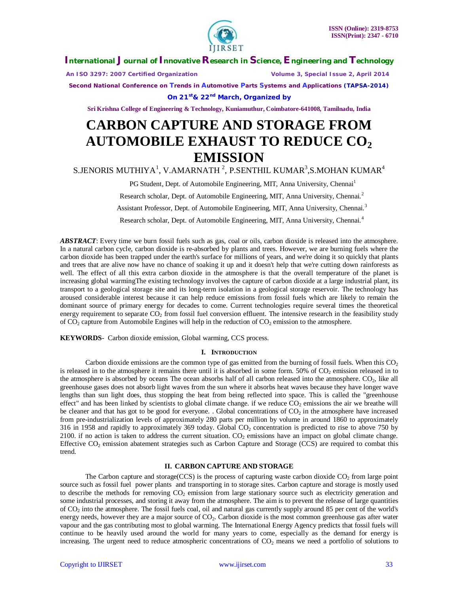

 *An ISO 3297: 2007 Certified Organization Volume 3, Special Issue 2, April 2014*

**Second National Conference on Trends in Automotive Parts Systems and Applications (TAPSA-2014)**

**On 21st& 22nd March, Organized by**

**Sri Krishna College of Engineering & Technology, Kuniamuthur, Coimbatore-641008, Tamilnadu, India**

# **CARBON CAPTURE AND STORAGE FROM AUTOMOBILE EXHAUST TO REDUCE CO<sup>2</sup> EMISSION**

S.JENORIS MUTHIYA $^1$ , V.AMARNATH $^2$ , P.SENTHIL KUMAR $^3$ ,S.MOHAN KUMAR $^4$ 

PG Student, Dept. of Automobile Engineering, MIT, Anna University, Chennai<sup>1</sup>

Research scholar, Dept. of Automobile Engineering, MIT, Anna University, Chennai*.* 2

Assistant Professor, Dept. of Automobile Engineering, MIT, Anna University, Chennai*.* 3

Research scholar, Dept. of Automobile Engineering, MIT, Anna University, Chennai*.* 4

*ABSTRACT*: Every time we burn fossil fuels such as gas, coal or oils, carbon dioxide is released into the atmosphere. In a natural carbon cycle, carbon dioxide is re-absorbed by plants and trees. However, we are burning fuels where the carbon dioxide has been trapped under the earth's surface for millions of years, and we're doing it so quickly that plants and trees that are alive now have no chance of soaking it up and it doesn't help that we're cutting down rainforests as well. The effect of all this extra carbon dioxide in the atmosphere is that the overall temperature of the planet is increasing global warmingThe existing technology involves the capture of carbon dioxide at a large industrial plant, its transport to a geological storage site and its long-term isolation in a geological storage reservoir. The technology has aroused considerable interest because it can help reduce emissions from fossil fuels which are likely to remain the dominant source of primary energy for decades to come. Current technologies require several times the theoretical energy requirement to separate  $CO<sub>2</sub>$  from fossil fuel conversion effluent. The intensive research in the feasibility study of  $CO_2$  capture from Automobile Engines will help in the reduction of  $CO_2$  emission to the atmosphere.

**KEYWORDS**- Carbon dioxide emission, Global warming, CCS process.

#### **I. INTRODUCTION**

Carbon dioxide emissions are the common type of gas emitted from the burning of fossil fuels. When this  $CO<sub>2</sub>$ is released in to the atmosphere it remains there until it is absorbed in some form.  $50\%$  of  $CO<sub>2</sub>$  emission released in to the atmosphere is absorbed by oceans The ocean absorbs half of all carbon released into the atmosphere. CO2, like all greenhouse gases does not absorb light waves from the sun where it absorbs heat waves because they have longer wave lengths than sun light does, thus stopping the heat from being reflected into space. This is called the "greenhouse effect" and has been linked by scientists to global climate change. if we reduce  $CO_2$  emissions the air we breathe will be cleaner and that has got to be good for everyone. . Global concentrations of  $CO<sub>2</sub>$  in the atmosphere have increased from pre-industrialization levels of approximately 280 parts per million by volume in around 1860 to approximately 316 in 1958 and rapidly to approximately 369 today. Global  $CO<sub>2</sub>$  concentration is predicted to rise to above 750 by 2100. if no action is taken to address the current situation.  $CO<sub>2</sub>$  emissions have an impact on global climate change. Effective  $CO<sub>2</sub>$  emission abatement strategies such as Carbon Capture and Storage (CCS) are required to combat this trend.

## **II. CARBON CAPTURE AND STORAGE**

The Carbon capture and storage(CCS) is the process of capturing waste carbon dioxide  $CO<sub>2</sub>$  from large point source such as fossil fuel power plants and transporting in to storage sites. Carbon capture and storage is mostly used to describe the methods for removing  $CO<sub>2</sub>$  emission from large stationary source such as electricity generation and some industrial processes, and storing it away from the atmosphere. The aim is to prevent the release of large quantities of CO<sup>2</sup> into the atmosphere. The fossil fuels coal, oil and natural gas currently supply around 85 per cent of the world's energy needs, however they are a major source of CO<sub>2</sub>. Carbon dioxide is the most common greenhouse gas after water vapour and the gas contributing most to global warming. The International Energy Agency predicts that fossil fuels will continue to be heavily used around the world for many years to come, especially as the demand for energy is increasing. The urgent need to reduce atmospheric concentrations of  $CO<sub>2</sub>$  means we need a portfolio of solutions to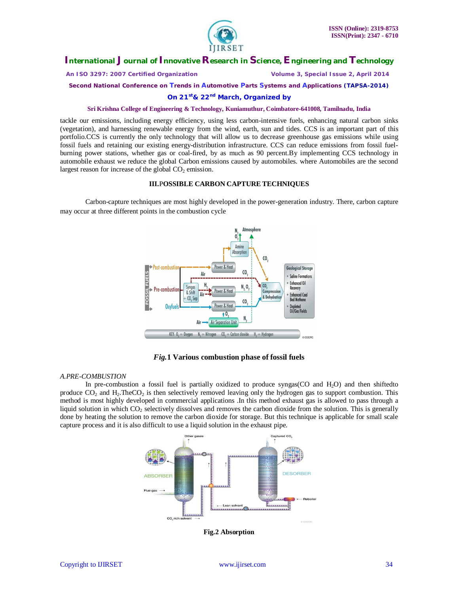

 *An ISO 3297: 2007 Certified Organization Volume 3, Special Issue 2, April 2014*

**Second National Conference on Trends in Automotive Parts Systems and Applications (TAPSA-2014)**

**On 21st& 22nd March, Organized by**

## **Sri Krishna College of Engineering & Technology, Kuniamuthur, Coimbatore-641008, Tamilnadu, India**

tackle our emissions, including energy efficiency, using less carbon-intensive fuels, enhancing natural carbon sinks (vegetation), and harnessing renewable energy from the wind, earth, sun and tides. CCS is an important part of this portfolio.CCS is currently the only technology that will allow us to decrease greenhouse gas emissions while using fossil fuels and retaining our existing energy-distribution infrastructure. CCS can reduce emissions from fossil fuelburning power stations, whether gas or coal-fired, by as much as 90 percent.By implementing CCS technology in automobile exhaust we reduce the global Carbon emissions caused by automobiles. where Automobiles are the second largest reason for increase of the global  $CO<sub>2</sub>$  emission.

## **III.**P**OSSIBLE CARBON CAPTURE TECHNIQUES**

Carbon-capture techniques are most highly developed in the power-generation industry. There, carbon capture may occur at three different points in the combustion cycle



*Fig.***1 Various combustion phase of fossil fuels**

#### *A.PRE-COMBUSTION*

In pre-combustion a fossil fuel is partially oxidized to produce syngas(CO and H<sub>2</sub>O) and then shiftedto produce  $CO_2$  and  $H_2$ .The $CO_2$  is then selectively removed leaving only the hydrogen gas to support combustion. This method is most highly developed in commercial applications .In this method exhaust gas is allowed to pass through a liquid solution in which  $CO<sub>2</sub>$  selectively dissolves and removes the carbon dioxide from the solution. This is generally done by heating the solution to remove the carbon dioxide for storage. But this technique is applicable for small scale capture process and it is also difficult to use a liquid solution in the exhaust pipe.



**Fig.2 Absorption**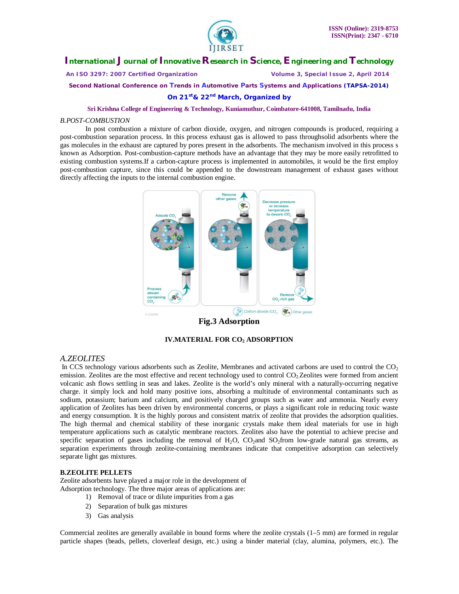

 *An ISO 3297: 2007 Certified Organization Volume 3, Special Issue 2, April 2014*

**Second National Conference on Trends in Automotive Parts Systems and Applications (TAPSA-2014)**

**On 21st& 22nd March, Organized by**

#### **Sri Krishna College of Engineering & Technology, Kuniamuthur, Coimbatore-641008, Tamilnadu, India**

#### *B.POST-COMBUSTION*

In post combustion a mixture of carbon dioxide, oxygen, and nitrogen compounds is produced, requiring a post-combustion separation process. In this process exhaust gas is allowed to pass throughsolid adsorbents where the gas molecules in the exhaust are captured by pores present in the adsorbents. The mechanism involved in this process s known as Adsorption. Post-combustion-capture methods have an advantage that they may be more easily retrofitted to existing combustion systems.If a carbon-capture process is implemented in automobiles, it would be the first employ post-combustion capture, since this could be appended to the downstream management of exhaust gases without directly affecting the inputs to the internal combustion engine.



**Fig.3 Adsorption**

**IV.MATERIAL FOR CO<sup>2</sup> ADSORPTION**

## *A.ZEOLITES*

In CCS technology various adsorbents such as Zeolite, Membranes and activated carbons are used to control the  $CO<sub>2</sub>$ emission. Zeolites are the most effective and recent technology used to control CO<sub>2</sub>. Zeolites were formed from ancient volcanic ash flows settling in seas and lakes. Zeolite is the world's only mineral with a naturally-occurring negative charge. it simply lock and hold many positive ions, absorbing a multitude of environmental contaminants such as sodium, potassium; barium and calcium, and positively charged groups such as water and ammonia. Nearly every application of Zeolites has been driven by environmental concerns, or plays a significant role in reducing toxic waste and energy consumption. It is the highly porous and consistent matrix of zeolite that provides the adsorption qualities. The high thermal and chemical stability of these inorganic crystals make them ideal materials for use in high temperature applications such as catalytic membrane reactors. Zeolites also have the potential to achieve precise and specific separation of gases including the removal of  $H_2O$ ,  $CO_2$  and  $SO_2$ from low-grade natural gas streams, as separation experiments through zeolite-containing membranes indicate that competitive adsorption can selectively separate light gas mixtures.

#### **B.ZEOLITE PELLETS**

Zeolite adsorbents have played a major role in the development of Adsorption technology. The three major areas of applications are:

- 1) Removal of trace or dilute impurities from a gas
- 2) Separation of bulk gas mixtures
- 3) Gas analysis

Commercial zeolites are generally available in bound forms where the zeolite crystals (1–5 mm) are formed in regular particle shapes (beads, pellets, cloverleaf design, etc.) using a binder material (clay, alumina, polymers, etc.). The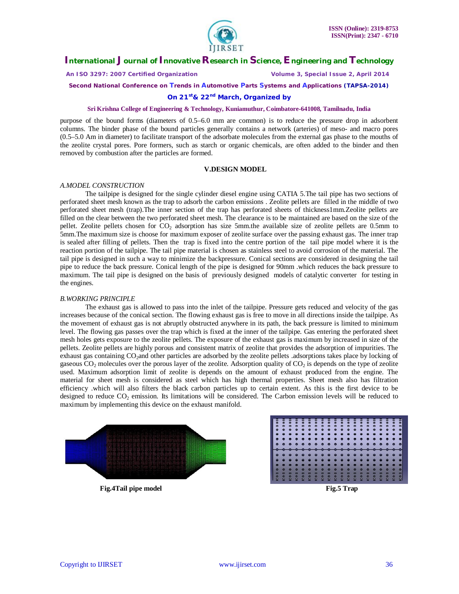

 *An ISO 3297: 2007 Certified Organization Volume 3, Special Issue 2, April 2014*

**Second National Conference on Trends in Automotive Parts Systems and Applications (TAPSA-2014)**

#### **On 21st& 22nd March, Organized by**

## **Sri Krishna College of Engineering & Technology, Kuniamuthur, Coimbatore-641008, Tamilnadu, India**

purpose of the bound forms (diameters of 0.5–6.0 mm are common) is to reduce the pressure drop in adsorbent columns. The binder phase of the bound particles generally contains a network (arteries) of meso- and macro pores (0.5–5.0 Am in diameter) to facilitate transport of the adsorbate molecules from the external gas phase to the mouths of the zeolite crystal pores. Pore formers, such as starch or organic chemicals, are often added to the binder and then removed by combustion after the particles are formed.

#### **V.DESIGN MODEL**

#### *A.MODEL CONSTRUCTION*

The tailpipe is designed for the single cylinder diesel engine using CATIA 5.The tail pipe has two sections of perforated sheet mesh known as the trap to adsorb the carbon emissions . Zeolite pellets are filled in the middle of two perforated sheet mesh (trap).The inner section of the trap has perforated sheets of thickness1mm.Zeolite pellets are filled on the clear between the two perforated sheet mesh. The clearance is to be maintained are based on the size of the pellet. Zeolite pellets chosen for CO<sub>2</sub> adsorption has size 5mm.the available size of zeolite pellets are 0.5mm to 5mm.The maximum size is choose for maximum exposer of zeolite surface over the passing exhaust gas. The inner trap is sealed after filling of pellets. Then the trap is fixed into the centre portion of the tail pipe model where it is the reaction portion of the tailpipe. The tail pipe material is chosen as stainless steel to avoid corrosion of the material. The tail pipe is designed in such a way to minimize the backpressure. Conical sections are considered in designing the tail pipe to reduce the back pressure. Conical length of the pipe is designed for 90mm .which reduces the back pressure to maximum. The tail pipe is designed on the basis of previously designed models of catalytic converter for testing in the engines.

#### *B.WORKING PRINCIPLE*

The exhaust gas is allowed to pass into the inlet of the tailpipe. Pressure gets reduced and velocity of the gas increases because of the conical section. The flowing exhaust gas is free to move in all directions inside the tailpipe. As the movement of exhaust gas is not abruptly obstructed anywhere in its path, the back pressure is limited to minimum level. The flowing gas passes over the trap which is fixed at the inner of the tailpipe. Gas entering the perforated sheet mesh holes gets exposure to the zeolite pellets. The exposure of the exhaust gas is maximum by increased in size of the pellets. Zeolite pellets are highly porous and consistent matrix of zeolite that provides the adsorption of impurities. The exhaust gas containing CO2and other particles are adsorbed by the zeolite pellets .adsorptions takes place by locking of gaseous  $CO<sub>2</sub>$  molecules over the porous layer of the zeolite. Adsorption quality of  $CO<sub>2</sub>$  is depends on the type of zeolite used. Maximum adsorption limit of zeolite is depends on the amount of exhaust produced from the engine. The material for sheet mesh is considered as steel which has high thermal properties. Sheet mesh also has filtration efficiency .which will also filters the black carbon particles up to certain extent. As this is the first device to be designed to reduce CO<sub>2</sub> emission. Its limitations will be considered. The Carbon emission levels will be reduced to maximum by implementing this device on the exhaust manifold.



**Fig.4Tail pipe model Service Service Service Service Service Service Service Service Service Service Service Service Service Service Service Service Service Service Service Service Service Service Service Service Service**